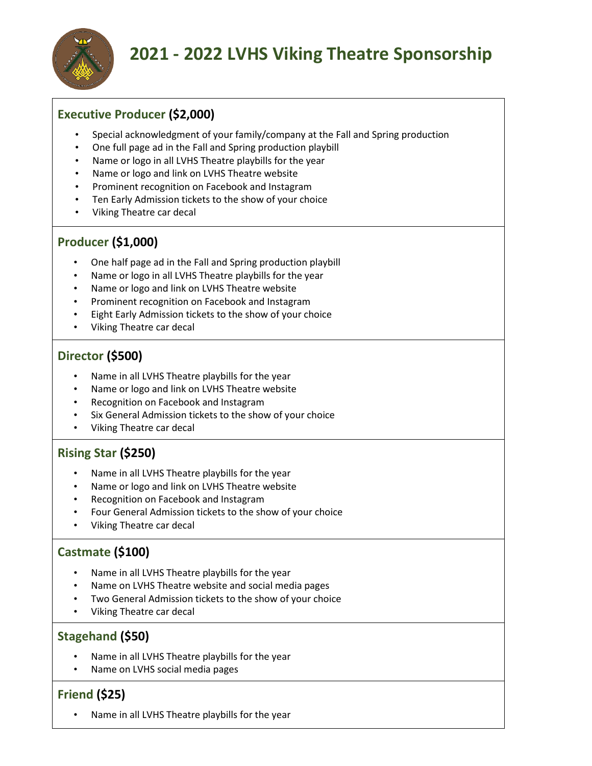

## **2021 - 2022 LVHS Viking Theatre Sponsorship**

### **Executive Producer (\$2,000)**

- Special acknowledgment of your family/company at the Fall and Spring production
- One full page ad in the Fall and Spring production playbill
- Name or logo in all LVHS Theatre playbills for the year
- Name or logo and link on LVHS Theatre website
- Prominent recognition on Facebook and Instagram
- Ten Early Admission tickets to the show of your choice
- Viking Theatre car decal

#### **Producer (\$1,000)**

- One half page ad in the Fall and Spring production playbill
- Name or logo in all LVHS Theatre playbills for the year
- Name or logo and link on LVHS Theatre website
- Prominent recognition on Facebook and Instagram
- Eight Early Admission tickets to the show of your choice
- Viking Theatre car decal

#### **Director (\$500)**

- Name in all LVHS Theatre playbills for the year
- Name or logo and link on LVHS Theatre website
- Recognition on Facebook and Instagram
- Six General Admission tickets to the show of your choice
- Viking Theatre car decal

#### **Rising Star (\$250)**

- Name in all LVHS Theatre playbills for the year
- Name or logo and link on LVHS Theatre website
- Recognition on Facebook and Instagram
- Four General Admission tickets to the show of your choice
- Viking Theatre car decal

#### **Castmate (\$100)**

- Name in all LVHS Theatre playbills for the year
- Name on LVHS Theatre website and social media pages
- Two General Admission tickets to the show of your choice
- Viking Theatre car decal

#### **Stagehand (\$50)**

- Name in all LVHS Theatre playbills for the year
- Name on LVHS social media pages

#### **Friend (\$25)**

• Name in all LVHS Theatre playbills for the year